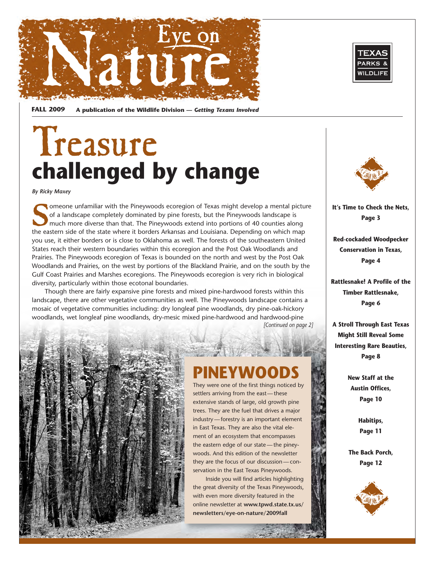



**FALL 2009 A publication of the Wildlife Division —** *Getting Texans Involved* 

## Treasure **challenged by change**

*By Ricky Maxey* 

Someone unfamiliar with the Pineywoods ecoregion of Texas might develop a mental picture<br>of a landscape completely dominated by pine forests, but the Pineywoods landscape is<br>much more diverse than that. The Pineywoods exte of a landscape completely dominated by pine forests, but the Pineywoods landscape is much more diverse than that. The Pineywoods extend into portions of 40 counties along the eastern side of the state where it borders Arkansas and Louisiana. Depending on which map you use, it either borders or is close to Oklahoma as well. The forests of the southeastern United States reach their western boundaries within this ecoregion and the Post Oak Woodlands and Prairies. The Pineywoods ecoregion of Texas is bounded on the north and west by the Post Oak Woodlands and Prairies, on the west by portions of the Blackland Prairie, and on the south by the Gulf Coast Prairies and Marshes ecoregions. The Pineywoods ecoregion is very rich in biological diversity, particularly within those ecotonal boundaries.

Though there are fairly expansive pine forests and mixed pine-hardwood forests within this landscape, there are other vegetative communities as well. The Pineywoods landscape contains a mosaic of vegetative communities including: dry longleaf pine woodlands, dry pine-oak-hickory woodlands, wet longleaf pine woodlands, dry-mesic mixed pine-hardwood and hardwood-pine *[Continued on page 2]* 



## **PINEYWOODS**

They were one of the first things noticed by settlers arriving from the east— these extensive stands of large, old growth pine trees. They are the fuel that drives a major industry — forestry is an important element in East Texas. They are also the vital element of an ecosystem that encompasses the eastern edge of our state — the pineywoods. And this edition of the newsletter they are the focus of our discussion — conservation in the East Texas Pineywoods.

Inside you will find articles highlighting the great diversity of the Texas Pineywoods, with even more diversity featured in the online newsletter at **www.tpwd.state.tx.us/ newsletters/eye-on-nature/2009fall** 



**It's Time to Check the Nets, Page 3** 

**Red-cockaded Woodpecker Conservation in Texas, Page 4** 

**Rattlesnake! A Profile of the Timber Rattlesnake, Page 6** 

**A Stroll Through East Texas Might Still Reveal Some Interesting Rare Beauties, Page 8** 

> **New Staff at the Austin Offices, Page 10**

> > **Habitips, Page 11**

**The Back Porch, Page 12** 

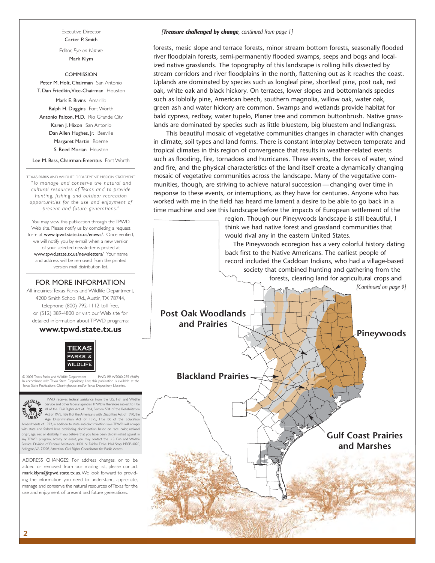Executive Director Carter P. Smith

Editor, *Eye on Nature*  Mark Klym

#### **COMMISSION**

Peter M. Holt, Chairman San Antonio T. Dan Friedkin,Vice-Chairman Houston

Mark E. Bivins Amarillo Ralph H. Duggins Fort Worth Antonio Falcon, M.D. Rio Grande City Karen J. Hixon San Antonio Dan Allen Hughes, Jr. Beeville Margaret Martin Boerne S. Reed Morian Houston

Lee M. Bass, Chairman-Emeritus Fort Worth

TEXAS PARKS AND WILDLIFE DEPARTMENT MISSION STATEMENT *"To manage and conser ve the natural and cultural resources of Texas and to provide hunting, fishing and outdoor recreation opportunities for the use and enjoyment of present and future generations."* 

 www.tpwd.state.tx.us/newsletters/. Your name You may view this publication through the TPWD Web site. Please notify us by completing a request form at www.tpwd.state.tx.us/enews/. Once verified, we will notify you by e-mail when a new version of your selected newsletter is posted at and address will be removed from the printed version mail distribution list.

#### FOR MORE INFORMATION

 4200 Smith School Rd., Austin,TX 78744, All inquiries:Texas Parks and Wildlife Department, telephone (800) 792-1112 toll free, or (512) 389-4800 or visit our Web site for detailed information about TPWD programs:

#### **www.tpwd.state.tx.us**



 In accordance with Texas State Depository Law, this publication is available at the © 2009 Texas Parks and Wildlife Department PWD BR W7000-255 (9/09) Texas State Publications Clearinghouse and/or Texas Depository Libraries.



 Arlington,VA 22203, Attention: Civil Rights Coordinator for Public Access. TPWD receives federal assistance from the U.S. Fish and Wildlife<br>Service and other federal agencies TPWD is therefore subject to Title<br>VI of the Civil Rights Act of 1964, Section 504 of the Rehabilitation<br>Act of 1973,Title Amendments of 1972, in addition to state anti-discrimination laws.TPWD will comply with state and federal laws prohibiting discrimination based on race, color, national origin, age, sex or disability. If you believe that you have been discriminated against in any TPWD program, activity or event, you may contact the U.S. Fish and Service, Division of Federal Assistance, 4401 N. Fairfax Drive, Mail Stop: MBSP-4020,

ADDRESS CHANGES: For address changes, or to be added or removed from our mailing list, please contact mark.klym@tpwd.state.tx.us. We look forward to providing the information you need to understand, appreciate, manage and conserve the natural resources of Texas for the use and enjoyment of present and future generations.

#### *[Treasure challenged by change, continued from page 1]*

forests, mesic slope and terrace forests, minor stream bottom forests, seasonally flooded river floodplain forests, semi-permanently flooded swamps, seeps and bogs and localized native grasslands. The topography of this landscape is rolling hills dissected by stream corridors and river floodplains in the north, flattening out as it reaches the coast. Uplands are dominated by species such as longleaf pine, shortleaf pine, post oak, red oak, white oak and black hickory. On terraces, lower slopes and bottomlands species such as loblolly pine, American beech, southern magnolia, willow oak, water oak, green ash and water hickory are common. Swamps and wetlands provide habitat for bald cypress, redbay, water tupelo, Planer tree and common buttonbrush. Native grasslands are dominated by species such as little bluestem, big bluestem and Indiangrass.

This beautiful mosaic of vegetative communities changes in character with changes in climate, soil types and land forms. There is constant interplay between temperate and tropical climates in this region of convergence that results in weather-related events such as flooding, fire, tornadoes and hurricanes. These events, the forces of water, wind and fire, and the physical characteristics of the land itself create a dynamically changing mosaic of vegetative communities across the landscape. Many of the vegetative communities, though, are striving to achieve natural succession — changing over time in response to these events, or interruptions, as they have for centuries. Anyone who has worked with me in the field has heard me lament a desire to be able to go back in a time machine and see this landscape before the impacts of European settlement of the

> region. Though our Pineywoods landscape is still beautiful, I think we had native forest and grassland communities that would rival any in the eastern United States.

The Pineywoods ecoregion has a very colorful history dating back first to the Native Americans. The earliest people of record included the Caddoan Indians, who had a village-based society that combined hunting and gathering from the forests, clearing land for agricultural crops and *[Continued on page 9]*  **Gulf Coast Prairies and Marshes Blackland Prairies Post Oak Woodlands and Prairies Pineywoods**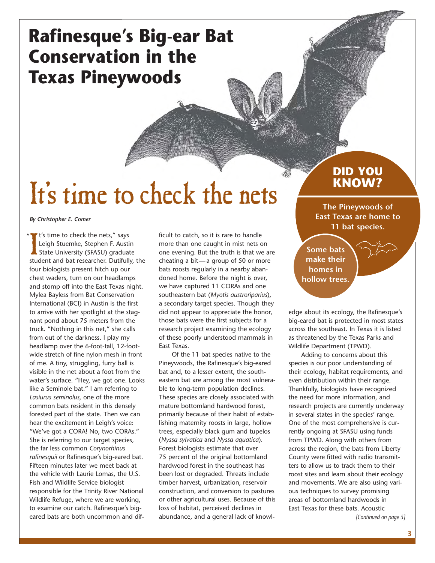## **Rafinesque's Big-ear Bat Conservation in the Texas Pineywoods**

## It's time to check the nets

*By Christopher E. Comer* 

" It's time to check the nets," says<br>Leigh Stuemke, Stephen F. Austin<br>State University (SFASU) graduate<br>student and bat researcher. Dutifully, the It's time to check the nets," says Leigh Stuemke, Stephen F. Austin State University (SFASU) graduate four biologists present hitch up our chest waders, turn on our headlamps and stomp off into the East Texas night. Mylea Bayless from Bat Conservation International (BCI) in Austin is the first to arrive with her spotlight at the stagnant pond about 75 meters from the truck. "Nothing in this net," she calls from out of the darkness. I play my headlamp over the 6-foot-tall, 12-footwide stretch of fine nylon mesh in front of me. A tiny, struggling, furry ball is visible in the net about a foot from the water's surface. "Hey, we got one. Looks like a Seminole bat." I am referring to *Lasiurus seminolus*, one of the more common bats resident in this densely forested part of the state. Then we can hear the excitement in Leigh's voice: "We've got a CORA! No, two CORAs." She is referring to our target species, the far less common *Corynorhinus rafinesquii* or Rafinesque's big-eared bat. Fifteen minutes later we meet back at the vehicle with Laurie Lomas, the U.S. Fish and Wildlife Service biologist responsible for the Trinity River National Wildlife Refuge, where we are working, to examine our catch. Rafinesque's bigeared bats are both uncommon and dif-

ficult to catch, so it is rare to handle more than one caught in mist nets on one evening. But the truth is that we are cheating a bit— a group of 50 or more bats roosts regularly in a nearby abandoned home. Before the night is over, we have captured 11 CORAs and one southeastern bat (*Myotis austroriparius*), a secondary target species. Though they did not appear to appreciate the honor, those bats were the first subjects for a research project examining the ecology of these poorly understood mammals in East Texas.

Of the 11 bat species native to the Pineywoods, the Rafinesque's big-eared bat and, to a lesser extent, the southeastern bat are among the most vulnerable to long-term population declines. These species are closely associated with mature bottomland hardwood forest, primarily because of their habit of establishing maternity roosts in large, hollow trees, especially black gum and tupelos (*Nyssa sylvatica* and *Nyssa aquatica*). Forest biologists estimate that over 75 percent of the original bottomland hardwood forest in the southeast has been lost or degraded. Threats include timber harvest, urbanization, reservoir construction, and conversion to pastures or other agricultural uses. Because of this loss of habitat, perceived declines in abundance, and a general lack of knowl-

### **DID YOU KNOW?**

**The Pineywoods of East Texas are home to 11 bat species.** 

**Some bats make their homes in hollow trees.** 

edge about its ecology, the Rafinesque's big-eared bat is protected in most states across the southeast. In Texas it is listed as threatened by the Texas Parks and Wildlife Department (TPWD).

Adding to concerns about this species is our poor understanding of their ecology, habitat requirements, and even distribution within their range. Thankfully, biologists have recognized the need for more information, and research projects are currently underway in several states in the species' range. One of the most comprehensive is currently ongoing at SFASU using funds from TPWD. Along with others from across the region, the bats from Liberty County were fitted with radio transmitters to allow us to track them to their roost sites and learn about their ecology and movements. We are also using various techniques to survey promising areas of bottomland hardwoods in East Texas for these bats. Acoustic

*[Continued on page 5]*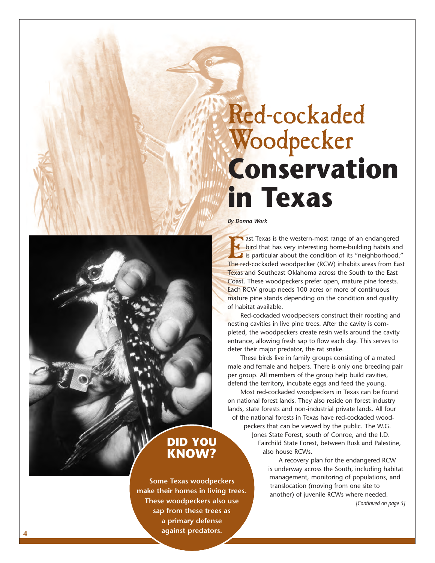## Red-cockaded Woodpecker **Conservation in Texas**

#### *By Donna Work*

ast Texas is the western-most range of an endangered bird that has very interesting home-building habits and If is particular about the condition of its "neighborhood." The red-cockaded woodpecker (RCW) inhabits areas from East Texas and Southeast Oklahoma across the South to the East Coast. These woodpeckers prefer open, mature pine forests. Each RCW group needs 100 acres or more of continuous mature pine stands depending on the condition and quality of habitat available.

Red-cockaded woodpeckers construct their roosting and nesting cavities in live pine trees. After the cavity is completed, the woodpeckers create resin wells around the cavity entrance, allowing fresh sap to flow each day. This serves to deter their major predator, the rat snake.

These birds live in family groups consisting of a mated male and female and helpers. There is only one breeding pair per group. All members of the group help build cavities, defend the territory, incubate eggs and feed the young.

Most red-cockaded woodpeckers in Texas can be found on national forest lands. They also reside on forest industry lands, state forests and non-industrial private lands. All four of the national forests in Texas have red-cockaded wood-

peckers that can be viewed by the public. The W.G. Jones State Forest, south of Conroe, and the I.D.

Fairchild State Forest, between Rusk and Palestine, also house RCWs.

A recovery plan for the endangered RCW is underway across the South, including habitat management, monitoring of populations, and translocation (moving from one site to another) of juvenile RCWs where needed.

*[Continued on page 5]* 

#### **DID YOU KNOW?**

**Some Texas woodpeckers make their homes in living trees. These woodpeckers also use sap from these trees as a primary defense against predators.**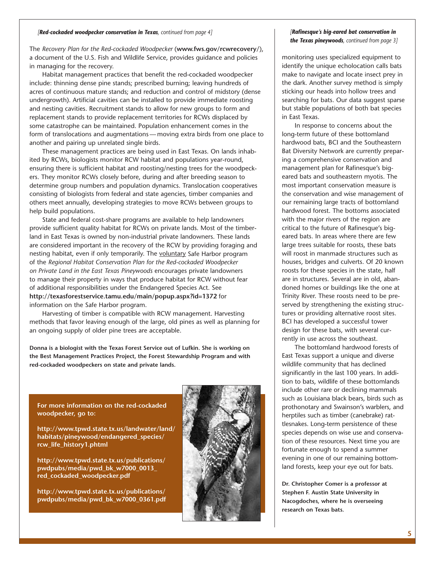#### *[Red-cockaded woodpecker conservation in Texas, continued from page 4]*

The *Recovery Plan for the Red-cockaded Woodpecker* (**www.fws.gov/rcwrecovery/**), a document of the U.S. Fish and Wildlife Service, provides guidance and policies in managing for the recovery.

Habitat management practices that benefit the red-cockaded woodpecker include: thinning dense pine stands; prescribed burning; leaving hundreds of acres of continuous mature stands; and reduction and control of midstory (dense undergrowth). Artificial cavities can be installed to provide immediate roosting and nesting cavities. Recruitment stands to allow for new groups to form and replacement stands to provide replacement territories for RCWs displaced by some catastrophe can be maintained. Population enhancement comes in the form of translocations and augmentations — moving extra birds from one place to another and pairing up unrelated single birds.

These management practices are being used in East Texas. On lands inhabited by RCWs, biologists monitor RCW habitat and populations year-round, ensuring there is sufficient habitat and roosting/nesting trees for the woodpeckers. They monitor RCWs closely before, during and after breeding season to determine group numbers and population dynamics. Translocation cooperatives consisting of biologists from federal and state agencies, timber companies and others meet annually, developing strategies to move RCWs between groups to help build populations.

State and federal cost-share programs are available to help landowners provide sufficient quality habitat for RCWs on private lands. Most of the timberland in East Texas is owned by non-industrial private landowners. These lands are considered important in the recovery of the RCW by providing foraging and nesting habitat, even if only temporarily. The voluntary Safe Harbor program of the *Regional Habitat Conservation Plan for the Red-cockaded Woodpecker on Private Land in the East Texas Pineywoods* encourages private landowners to manage their property in ways that produce habitat for RCW without fear of additional responsibilities under the Endangered Species Act. See **http://texasforestservice.tamu.edu/main/popup.aspx?id=1372** for information on the Safe Harbor program.

Harvesting of timber is compatible with RCW management. Harvesting methods that favor leaving enough of the large, old pines as well as planning for an ongoing supply of older pine trees are acceptable.

**Donna is a biologist with the Texas Forest Service out of Lufkin. She is working on the Best Management Practices Project, the Forest Stewardship Program and with red-cockaded woodpeckers on state and private lands.** 

**For more information on the red-cockaded woodpecker, go to:** 

**http://www.tpwd.state.tx.us/landwater/land/ habitats/pineywood/endangered\_species/ rcw\_life\_history1.phtml** 

**http://www.tpwd.state.tx.us/publications/ pwdpubs/media/pwd\_bk\_w7000\_0013\_ red\_cockaded\_woodpecker.pdf** 

**http://www.tpwd.state.tx.us/publications/ pwdpubs/media/pwd\_bk\_w7000\_0361.pdf** 



#### *[Rafinesque's big-eared bat conservation in the Texas pineywoods, continued from page 3]*

monitoring uses specialized equipment to identify the unique echolocation calls bats make to navigate and locate insect prey in the dark. Another survey method is simply sticking our heads into hollow trees and searching for bats. Our data suggest sparse but stable populations of both bat species in East Texas.

In response to concerns about the long-term future of these bottomland hardwood bats, BCI and the Southeastern Bat Diversity Network are currently preparing a comprehensive conservation and management plan for Rafinesque's bigeared bats and southeastern myotis. The most important conservation measure is the conservation and wise management of our remaining large tracts of bottomland hardwood forest. The bottoms associated with the major rivers of the region are critical to the future of Rafinesque's bigeared bats. In areas where there are few large trees suitable for roosts, these bats will roost in manmade structures such as houses, bridges and culverts. Of 20 known roosts for these species in the state, half are in structures. Several are in old, abandoned homes or buildings like the one at Trinity River. These roosts need to be preserved by strengthening the existing structures or providing alternative roost sites. BCI has developed a successful tower design for these bats, with several currently in use across the southeast.

The bottomland hardwood forests of East Texas support a unique and diverse wildlife community that has declined significantly in the last 100 years. In addition to bats, wildlife of these bottomlands include other rare or declining mammals such as Louisiana black bears, birds such as prothonotary and Swainson's warblers, and herptiles such as timber (canebrake) rattlesnakes. Long-term persistence of these species depends on wise use and conservation of these resources. Next time you are fortunate enough to spend a summer evening in one of our remaining bottomland forests, keep your eye out for bats.

**Dr. Christopher Comer is a professor at Stephen F. Austin State University in Nacogdoches, where he is overseeing research on Texas bats.**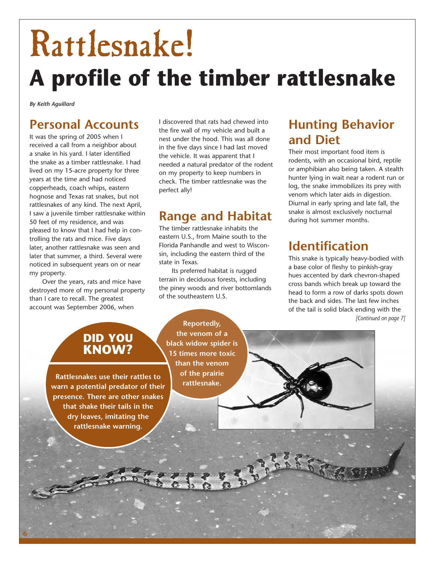# Rattlesnake! **A profile of the timber rattlesnake**

*By Keith Aguillard* 

## **Personal Accounts**

It was the spring of 2005 when I received a call from a neighbor about a snake in his yard. I later identified the snake as a timber rattlesnake. I had lived on my 15-acre property for three years at the time and had noticed copperheads, coach whips, eastern hognose and Texas rat snakes, but not rattlesnakes of any kind. The next April, I saw a juvenile timber rattlesnake within 50 feet of my residence, and was pleased to know that I had help in controlling the rats and mice. Five days later, another rattlesnake was seen and later that summer, a third. Several were noticed in subsequent years on or near my property.

Over the years, rats and mice have destroyed more of my personal property than I care to recall. The greatest account was September 2006, when

I discovered that rats had chewed into the fire wall of my vehicle and built a nest under the hood. This was all done in the five days since I had last moved the vehicle. It was apparent that I needed a natural predator of the rodent on my property to keep numbers in check. The timber rattlesnake was the perfect ally!

## **Range and Habitat**

The timber rattlesnake inhabits the eastern U.S., from Maine south to the Florida Panhandle and west to Wisconsin, including the eastern third of the state in Texas.

Its preferred habitat is rugged terrain in deciduous forests, including the piney woods and river bottomlands of the southeastern U.S.

## **Hunting Behavior and Diet**

Their most important food item is rodents, with an occasional bird, reptile or amphibian also being taken. A stealth hunter lying in wait near a rodent run or log, the snake immobilizes its prey with venom which later aids in digestion. Diurnal in early spring and late fall, the snake is almost exclusively nocturnal during hot summer months.

## **Identification**

This snake is typically heavy-bodied with a base color of fleshy to pinkish-gray hues accented by dark chevron-shaped cross bands which break up toward the head to form a row of darks spots down the back and sides. The last few inches of the tail is solid black ending with the *[Continued on page 7]* 

## **DID YOU KNOW?**

**Rattlesnakes use their rattles to warn a potential predator of their presence. There are other snakes that shake their tails in the dry leaves, imitating the rattlesnake warning.** 

**6** 

**Reportedly, the venom of a black widow spider is 15 times more toxic than the venom of the prairie rattlesnake.**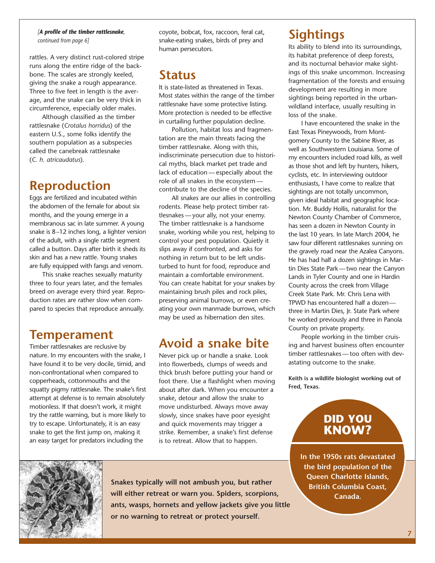#### *[A profile of the timber rattlesnake, continued from page 6]*

rattles. A very distinct rust-colored stripe runs along the entire ridge of the backbone. The scales are strongly keeled, giving the snake a rough appearance. Three to five feet in length is the average, and the snake can be very thick in circumference, especially older males.

Although classified as the timber rattlesnake (*Crotalus horridus*) of the eastern U.S., some folks identify the southern population as a subspecies called the canebreak rattlesnake (*C. h. atricaudatus*).

### **Reproduction**

Eggs are fertilized and incubated within the abdomen of the female for about six months, and the young emerge in a membranous sac in late summer. A young snake is 8–12 inches long, a lighter version of the adult, with a single rattle segment called a button. Days after birth it sheds its skin and has a new rattle. Young snakes are fully equipped with fangs and venom.

This snake reaches sexually maturity three to four years later, and the females breed on average every third year. Reproduction rates are rather slow when compared to species that reproduce annually.

### **Temperament**

Timber rattlesnakes are reclusive by nature. In my encounters with the snake, I have found it to be very docile, timid, and non-confrontational when compared to copperheads, cottonmouths and the squatty pigmy rattlesnake. The snake's first attempt at defense is to remain absolutely motionless. If that doesn't work, it might try the rattle warning, but is more likely to try to escape. Unfortunately, it is an easy snake to get the first jump on, making it an easy target for predators including the

coyote, bobcat, fox, raccoon, feral cat, snake-eating snakes, birds of prey and human persecutors.

### **Status**

It is state-listed as threatened in Texas. Most states within the range of the timber rattlesnake have some protective listing. More protection is needed to be effective in curtailing further population decline.

Pollution, habitat loss and fragmentation are the main threats facing the timber rattlesnake. Along with this, indiscriminate persecution due to historical myths, black market pet trade and lack of education — especially about the role of all snakes in the ecosystem contribute to the decline of the species.

All snakes are our allies in controlling rodents. Please help protect timber rattlesnakes — your ally, not your enemy. The timber rattlesnake is a handsome snake, working while you rest, helping to control your pest population. Quietly it slips away if confronted, and asks for nothing in return but to be left undisturbed to hunt for food, reproduce and maintain a comfortable environment. You can create habitat for your snakes by maintaining brush piles and rock piles, preserving animal burrows, or even creating your own manmade burrows, which may be used as hibernation den sites.

### **Avoid a snake bite**

Never pick up or handle a snake. Look into flowerbeds, clumps of weeds and thick brush before putting your hand or foot there. Use a flashlight when moving about after dark. When you encounter a snake, detour and allow the snake to move undisturbed. Always move away slowly, since snakes have poor eyesight and quick movements may trigger a strike. Remember, a snake's first defense is to retreat. Allow that to happen.

## **Sightings**

Its ability to blend into its surroundings, its habitat preference of deep forests, and its nocturnal behavior make sightings of this snake uncommon. Increasing fragmentation of the forests and ensuing development are resulting in more sightings being reported in the urbanwildland interface, usually resulting in loss of the snake.

I have encountered the snake in the East Texas Pineywoods, from Montgomery County to the Sabine River, as well as Southwestern Louisiana. Some of my encounters included road kills, as well as those shot and left by hunters, hikers, cyclists, etc. In interviewing outdoor enthusiasts, I have come to realize that sightings are not totally uncommon, given ideal habitat and geographic location. Mr. Buddy Hollis, naturalist for the Newton County Chamber of Commerce, has seen a dozen in Newton County in the last 10 years. In late March 2004, he saw four different rattlesnakes sunning on the gravely road near the Azalea Canyons. He has had half a dozen sightings in Martin Dies State Park — two near the Canyon Lands in Tyler County and one in Hardin County across the creek from Village Creek State Park. Mr. Chris Lena with TPWD has encountered half a dozen three in Martin Dies, Jr. State Park where he worked previously and three in Panola County on private property.

People working in the timber cruising and harvest business often encounter timber rattlesnakes — too often with devastating outcome to the snake.

**Keith is a wildlife biologist working out of Fred, Texas.** 

### **DID YOU KNOW?**

**In the 1950s rats devastated the bird population of the Queen Charlotte Islands, British Columbia Coast, Canada.** 



**Snakes typically will not ambush you, but rather will either retreat or warn you. Spiders, scorpions, ants, wasps, hornets and yellow jackets give you little or no warning to retreat or protect yourself.**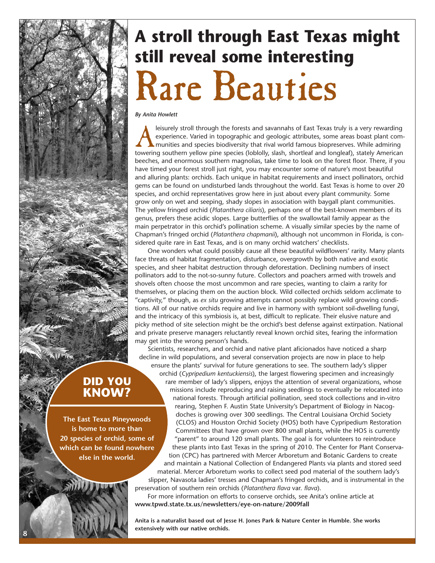## **A stroll through East Texas might still reveal some interesting**  Rare Beauties

*By Anita Howlett* 

leisurely stroll through the forests and savannahs of East Texas truly is a very rewarding<br>experience. Varied in topographic and geologic attributes, some areas boast plant com-<br>munities and species biodiversity that rival experience. Varied in topographic and geologic attributes, some areas boast plant communities and species biodiversity that rival world famous biopreserves. While admiring towering southern yellow pine species (loblolly, slash, shortleaf and longleaf), stately American beeches, and enormous southern magnolias, take time to look on the forest floor. There, if you have timed your forest stroll just right, you may encounter some of nature's most beautiful and alluring plants: orchids. Each unique in habitat requirements and insect pollinators, orchid gems can be found on undisturbed lands throughout the world. East Texas is home to over 20 species, and orchid representatives grow here in just about every plant community. Some grow only on wet and seeping, shady slopes in association with baygall plant communities. The yellow fringed orchid (*Platanthera ciliaris*), perhaps one of the best-known members of its genus, prefers these acidic slopes. Large butterflies of the swallowtail family appear as the main perpetrator in this orchid's pollination scheme. A visually similar species by the name of Chapman's fringed orchid (*Platanthera chapmanii*), although not uncommon in Florida, is considered quite rare in East Texas, and is on many orchid watchers' checklists.

One wonders what could possibly cause all these beautiful wildflowers' rarity. Many plants face threats of habitat fragmentation, disturbance, overgrowth by both native and exotic species, and sheer habitat destruction through deforestation. Declining numbers of insect pollinators add to the not-so-sunny future. Collectors and poachers armed with trowels and shovels often choose the most uncommon and rare species, wanting to claim a rarity for themselves, or placing them on the auction block. Wild collected orchids seldom acclimate to "captivity," though, as *ex situ* growing attempts cannot possibly replace wild growing conditions. All of our native orchids require and live in harmony with symbiont soil-dwelling fungi, and the intricacy of this symbiosis is, at best, difficult to replicate. Their elusive nature and picky method of site selection might be the orchid's best defense against extirpation. National and private preserve managers reluctantly reveal known orchid sites, fearing the information may get into the wrong person's hands.

Scientists, researchers, and orchid and native plant aficionados have noticed a sharp decline in wild populations, and several conservation projects are now in place to help ensure the plants' survival for future generations to see. The southern lady's slipper

orchid (*Cypripedium kentuckiensis*), the largest flowering specimen and increasingly rare member of lady's slippers, enjoys the attention of several organizations, whose missions include reproducing and raising seedlings to eventually be relocated into national forests. Through artificial pollination, seed stock collections and in-vitro rearing, Stephen F. Austin State University's Department of Biology in Nacogdoches is growing over 300 seedlings. The Central Louisiana Orchid Society (CLOS) and Houston Orchid Society (HOS) both have Cypripedium Restoration Committees that have grown over 800 small plants, while the HOS is currently "parent" to around 120 small plants. The goal is for volunteers to reintroduce these plants into East Texas in the spring of 2010. The Center for Plant Conservation (CPC) has partnered with Mercer Arboretum and Botanic Gardens to create and maintain a National Collection of Endangered Plants via plants and stored seed material. Mercer Arboretum works to collect seed pod material of the southern lady's slipper, Navasota ladies' tresses and Chapman's fringed orchids, and is instrumental in the preservation of southern rein orchids (*Platanthera flava* var. *flava*).

For more information on efforts to conserve orchids, see Anita's online article at **www.tpwd.state.tx.us/newsletters/eye-on-nature/2009fall** 

**Anita is a naturalist based out of Jesse H. Jones Park & Nature Center in Humble. She works extensively with our native orchids.** 

**DID YOU KNOW?** 

**The East Texas Pineywoods is home to more than 20 species of orchid, some of which can be found nowhere else in the world.** 

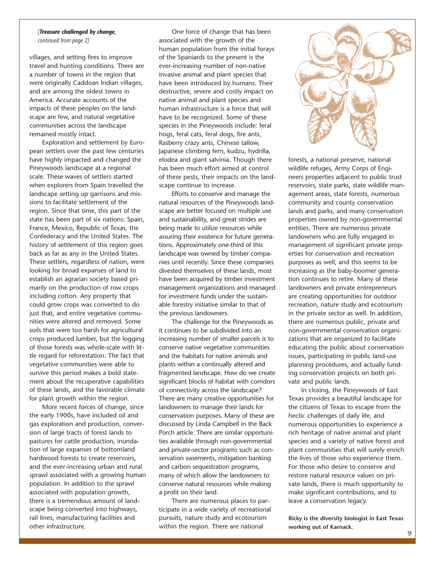#### *[Treasure challenged by change,*

*continued from page 2]* 

villages, and setting fires to improve travel and hunting conditions. There are a number of towns in the region that were originally Caddoan Indian villages, and are among the oldest towns in America. Accurate accounts of the impacts of these peoples on the landscape are few, and natural vegetative communities across the landscape remained mostly intact.

Exploration and settlement by European settlers over the past few centuries have highly impacted and changed the Pineywoods landscape at a regional scale. These waves of settlers started when explorers from Spain travelled the landscape setting up garrisons and missions to facilitate settlement of the region. Since that time, this part of the state has been part of six nations: Spain, France, Mexico, Republic of Texas, the Confederacy and the United States. The history of settlement of this region goes back as far as any in the United States. These settlers, regardless of nation, were looking for broad expanses of land to establish an agrarian society based primarily on the production of row crops including cotton. Any property that could grow crops was converted to do just that, and entire vegetative communities were altered and removed. Some soils that were too harsh for agricultural crops produced lumber, but the logging of those forests was whole-scale with little regard for reforestation. The fact that vegetative communities were able to survive this period makes a bold statement about the recuperative capabilities of these lands, and the favorable climate for plant growth within the region.

More recent forces of change, since the early 1900s, have included oil and gas exploration and production, conversion of large tracts of forest lands to pastures for cattle production, inundation of large expanses of bottomland hardwood forests to create reservoirs, and the ever-increasing urban and rural sprawl associated with a growing human population. In addition to the sprawl associated with population growth, there is a tremendous amount of landscape being converted into highways, rail lines, manufacturing facilities and other infrastructure.

One force of change that has been associated with the growth of the human population from the initial forays of the Spaniards to the present is the ever-increasing number of non-native invasive animal and plant species that have been introduced by humans. Their destructive, severe and costly impact on native animal and plant species and human infrastructure is a force that will have to be recognized. Some of these species in the Pineywoods include: feral hogs, feral cats, feral dogs, fire ants, Rasberry crazy ants, Chinese tallow, Japanese climbing fern, kudzu, hydrilla, elodea and giant salvinia. Though there has been much effort aimed at control of these pests, their impacts on the landscape continue to increase.

Efforts to conserve and manage the natural resources of the Pineywoods landscape are better focused on multiple use and sustainability, and great strides are being made to utilize resources while assuring their existence for future generations. Approximately one-third of this landscape was owned by timber companies until recently. Since these companies divested themselves of these lands, most have been acquired by timber investment management organizations and managed for investment funds under the sustainable forestry initiative similar to that of the previous landowners.

The challenge for the Pineywoods as it continues to be subdivided into an increasing number of smaller parcels is to conserve native vegetative communities and the habitats for native animals and plants within a continually altered and fragmented landscape. How do we create significant blocks of habitat with corridors of connectivity across the landscape? There are many creative opportunities for landowners to manage their lands for conservation purposes. Many of these are discussed by Linda Campbell in the Back Porch article. There are similar opportunities available through non-governmental and private-sector programs such as conservation easements, mitigation banking and carbon sequestration programs, many of which allow the landowners to conserve natural resources while making a profit on their land.

There are numerous places to participate in a wide variety of recreational pursuits, nature study and ecotourism within the region. There are national



forests, a national preserve, national wildlife refuges, Army Corps of Engineers properties adjacent to public trust reservoirs, state parks, state wildlife management areas, state forests, numerous community and county conservation lands and parks, and many conservation properties owned by non-governmental entities. There are numerous private landowners who are fully engaged in management of significant private properties for conservation and recreation purposes as well, and this seems to be increasing as the baby-boomer generation continues to retire. Many of these landowners and private entrepreneurs are creating opportunities for outdoor recreation, nature study and ecotourism in the private sector as well. In addition, there are numerous public, private and non-governmental conservation organizations that are organized to facilitate educating the public about conservation issues, participating in public land-use planning procedures, and actually funding conservation projects on both private and public lands.

In closing, the Pineywoods of East Texas provides a beautiful landscape for the citizens of Texas to escape from the hectic challenges of daily life, and numerous opportunities to experience a rich heritage of native animal and plant species and a variety of native forest and plant communities that will surely enrich the lives of those who experience them. For those who desire to conserve and restore natural resource values on private lands, there is much opportunity to make significant contributions, and to leave a conservation legacy.

**Ricky is the diversity biologist in East Texas working out of Karnack.**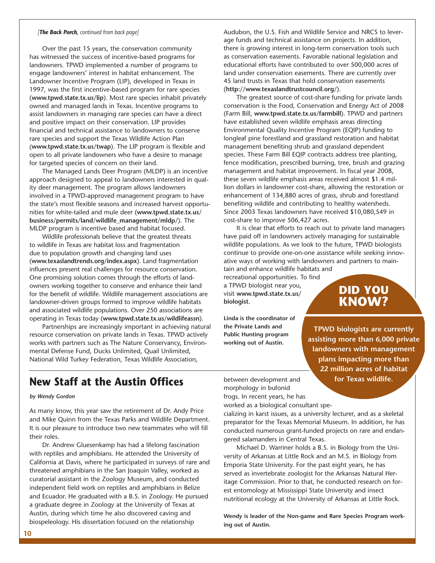#### *[The Back Porch, continued from back page]*

Over the past 15 years, the conservation community has witnessed the success of incentive-based programs for landowners. TPWD implemented a number of programs to engage landowners' interest in habitat enhancement. The Landowner Incentive Program (LIP), developed in Texas in 1997, was the first incentive-based program for rare species (**www.tpwd.state.tx.us/lip**). Most rare species inhabit privately owned and managed lands in Texas. Incentive programs to assist landowners in managing rare species can have a direct and positive impact on their conservation. LIP provides financial and technical assistance to landowners to conserve rare species and support the Texas Wildlife Action Plan (**www.tpwd.state.tx.us/twap**). The LIP program is flexible and open to all private landowners who have a desire to manage for targeted species of concern on their land.

The Managed Lands Deer Program (MLDP) is an incentive approach designed to appeal to landowners interested in quality deer management. The program allows landowners involved in a TPWD-approved management program to have the state's most flexible seasons and increased harvest opportunities for white-tailed and mule deer (**www.tpwd.state.tx.us/ business/permits/land/wildlife\_management/mldp/**). The MLDP program is incentive based and habitat focused.

Wildlife professionals believe that the greatest threats to wildlife in Texas are habitat loss and fragmentation due to population growth and changing land uses (**www.texaslandtrends.org/index.aspx**). Land fragmentation influences present real challenges for resource conservation. One promising solution comes through the efforts of landowners working together to conserve and enhance their land for the benefit of wildlife. Wildlife management associations are landowner-driven groups formed to improve wildlife habitats and associated wildlife populations. Over 250 associations are operating in Texas today (**www.tpwd.state.tx.us/wildlifeassn**).

Partnerships are increasingly important in achieving natural resource conservation on private lands in Texas. TPWD actively works with partners such as The Nature Conservancy, Environmental Defense Fund, Ducks Unlimited, Quail Unlimited, National Wild Turkey Federation, Texas Wildlife Association,

Audubon, the U.S. Fish and Wildlife Service and NRCS to leverage funds and technical assistance on projects. In addition, there is growing interest in long-term conservation tools such as conservation easements. Favorable national legislation and educational efforts have contributed to over 500,000 acres of land under conservation easements. There are currently over 45 land trusts in Texas that hold conservation easements (**http://www.texaslandtrustcouncil.org/**).

The greatest source of cost-share funding for private lands conservation is the Food, Conservation and Energy Act of 2008 (Farm Bill, **www.tpwd.state.tx.us/farmbill**). TPWD and partners have established seven wildlife emphasis areas directing Environmental Quality Incentive Program (EQIP) funding to longleaf pine forestland and grassland restoration and habitat management benefiting shrub and grassland dependent species. These Farm Bill EQIP contracts address tree planting, fence modification, prescribed burning, tree, brush and grazing management and habitat improvement. In fiscal year 2008, these seven wildlife emphasis areas received almost \$1.4 million dollars in landowner cost-share, allowing the restoration or enhancement of 134,880 acres of grass, shrub and forestland benefiting wildlife and contributing to healthy watersheds. Since 2003 Texas landowners have received \$10,080,549 in cost-share to improve 506,427 acres.

It is clear that efforts to reach out to private land managers have paid off in landowners actively managing for sustainable wildlife populations. As we look to the future, TPWD biologists continue to provide one-on-one assistance while seeking innovative ways of working with landowners and partners to main-

tain and enhance wildlife habitats and recreational opportunities. To find a TPWD biologist near you, visit **www.tpwd.state.tx.us/ biologist**.

**Linda is the coordinator of the Private Lands and Public Hunting program working out of Austin.** 

**TPWD biologists are currently assisting more than 6,000 private landowners with management plans impacting more than 22 million acres of habitat** 

**DID YOU KNOW?** 

#### **for Texas wildlife.**

### **New Staff at the Austin Offices**

#### *by Wendy Gordon*

As many know, this year saw the retirement of Dr. Andy Price and Mike Quinn from the Texas Parks and Wildlife Department. It is our pleasure to introduce two new teammates who will fill their roles.

Dr. Andrew Gluesenkamp has had a lifelong fascination with reptiles and amphibians. He attended the University of California at Davis, where he participated in surveys of rare and threatened amphibians in the San Joaquin Valley, worked as curatorial assistant in the Zoology Museum, and conducted independent field work on reptiles and amphibians in Belize and Ecuador. He graduated with a B.S. in Zoology. He pursued a graduate degree in Zoology at the University of Texas at Austin, during which time he also discovered caving and biospeleology. His dissertation focused on the relationship

between development and morphology in bufonid frogs. In recent years, he has worked as a biological consultant spe-

cializing in karst issues, as a university lecturer, and as a skeletal preparator for the Texas Memorial Museum. In addition, he has conducted numerous grant-funded projects on rare and endangered salamanders in Central Texas.

Michael D. Warriner holds a B.S. in Biology from the University of Arkansas at Little Rock and an M.S. in Biology from Emporia State University. For the past eight years, he has served as invertebrate zoologist for the Arkansas Natural Heritage Commission. Prior to that, he conducted research on forest entomology at Mississippi State University and insect nutritional ecology at the University of Arkansas at Little Rock.

**Wendy is leader of the Non-game and Rare Species Program working out of Austin.**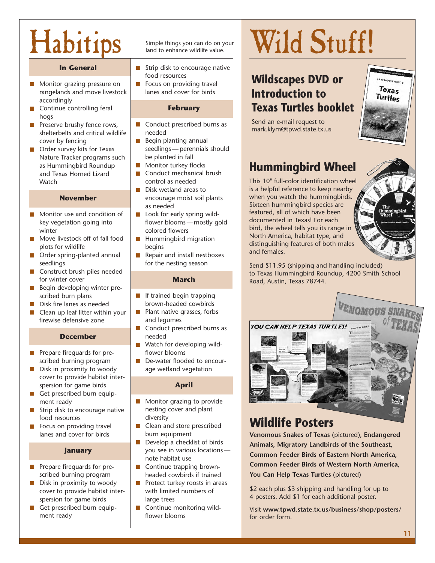## Habitips Simple things you can do on your

#### **In General**

- $\blacksquare$  Monitor grazing pressure on  $\blacksquare$  Focus on providing travel rangelands and move livestock | lanes and cover for birds accordingly
- **Example 2 Continue controlling feral Accord Example 2 Continue Controlling feral Accord February** hogs
- **Preserve brushy fence rows,** shelterbelts and critical wildlife  $|$  needed cover by fencing
- **Order survey kits for Texas** Nature Tracker programs such  $\parallel$  be planted in fall as Hummingbird Roundup and Texas Horned Lizard Watch **CONTROLL** CONTROL 25 needed

#### **November**

- Monitor use and condition of winter view and colored flowers
- Move livestock off of fall food plots for wildlife **begins**
- Order spring-planted annual  $\mathcal{L}_{\mathcal{A}}$ seedlings for the nesting season
- Construct brush piles needed for winter cover
- **Begin developing winter pre**scribed burn plans  $\parallel \blacksquare$  If trained begin trapping
- 
- П firewise defensive zone

#### **December**

- **Prepare fireguards for pre**scribed burning program
- $\Box$  Disk in proximity to woody  $\Box$  age wetland vegetation cover to provide habitat interspersion for game birds **April**
- Get prescribed burn equipment ready
- Strip disk to encourage native  $\parallel$  nesting cover and plant food resources
- $\blacksquare$  Focus on providing travel lanes and cover for birds and burn equipment

#### **January**

- **Prepare fireguards for pre-**
- **Disk in proximity to woody Protect turkey roosts in areas** cover to provide habitat inter-  $\vert$  with limited numbers of spersion for game birds
- Get prescribed burn equipment ready flower blooms

- Strip disk to encourage native food resources
- 

- Conduct prescribed burns as
- $\blacksquare$  Begin planting annual seedlings — perennials should
- Monitor turkey flocks
- Conduct mechanical brush
- Disk wetland areas to **T** encourage moist soil plants as needed
- $\mathbb{R}^n$ Look for early spring wildkey vegetation going into  $\parallel$  flower blooms — mostly gold
	- Hummingbird migration
	- Repair and install nestboxes

#### **March**

- Disk fire lanes as needed brown-headed cowbirds
- Clean up leaf litter within your **Plant native grasses, forbs**  $\frac{1}{2}$  and lequmes
	- T. Conduct prescribed burns as needed
	- Watch for developing wild-**Tale** flower blooms
	- De-water flooded to encour-

- Monitor grazing to provide diversity
- Clean and store prescribed
- Develop a checklist of birds you see in various locations note habitat use
- $\mathcal{L}_{\mathcal{A}}$ Continue trapping brownscribed burning program and headed cowbirds if trained
	- large trees
	- **Continue monitoring wild-**

# Wild Stuff!

### **Wildscapes DVD or Introduction to Texas Turtles booklet**

Send an e-mail request to mark.klym@tpwd.state.tx.us



## **Hummingbird Wheel**

This 10" full-color identification wheel is a helpful reference to keep nearby when you watch the hummingbirds. Sixteen hummingbird species are featured, all of which have been documented in Texas! For each bird, the wheel tells you its range in North America, habitat type, and distinguishing features of both males and females.



Send \$11.95 (shipping and handling included) to Texas Hummingbird Roundup, 4200 Smith School Road, Austin, Texas 78744.



## **Wildlife Posters**

**Venomous Snakes of Texas** (pictured), **Endangered Animals, Migratory Landbirds of the Southeast, Common Feeder Birds of Eastern North America, Common Feeder Birds of Western North America**, **You Can Help Texas Turtles** (pictured)

\$2 each plus \$3 shipping and handling for up to 4 posters. Add \$1 for each additional poster.

Visit **www.tpwd.state.tx.us/business/shop/posters/**  for order form.